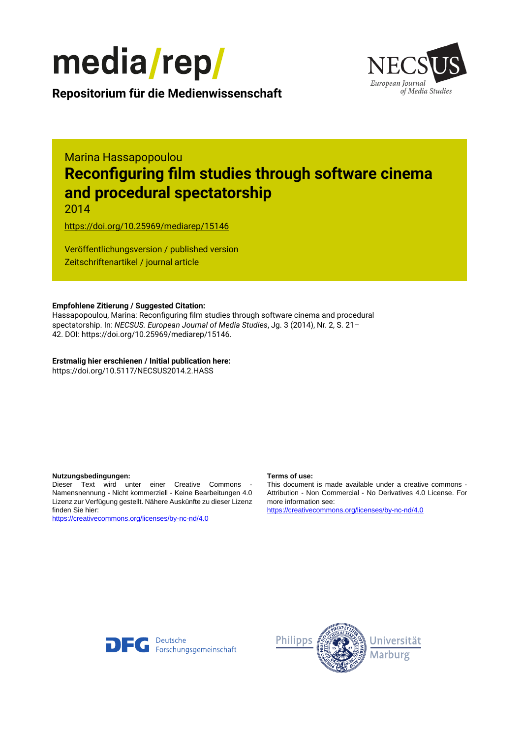



**Repositorium für die [Medienwissenschaft](https://mediarep.org)**

# Marina Hassapopoulou **Reconfiguring film studies through software cinema and procedural spectatorship**

2014

<https://doi.org/10.25969/mediarep/15146>

Veröffentlichungsversion / published version Zeitschriftenartikel / journal article

#### **Empfohlene Zitierung / Suggested Citation:**

Hassapopoulou, Marina: Reconfiguring film studies through software cinema and procedural spectatorship. In: *NECSUS. European Journal of Media Studies*, Jg. 3 (2014), Nr. 2, S. 21– 42. DOI: https://doi.org/10.25969/mediarep/15146.

**Erstmalig hier erschienen / Initial publication here:** https://doi.org/10.5117/NECSUS2014.2.HASS

#### **Nutzungsbedingungen: Terms of use:**

Dieser Text wird unter einer Creative Commons - Namensnennung - Nicht kommerziell - Keine Bearbeitungen 4.0 Lizenz zur Verfügung gestellt. Nähere Auskünfte zu dieser Lizenz finden Sie hier:

<https://creativecommons.org/licenses/by-nc-nd/4.0>

This document is made available under a creative commons - Attribution - Non Commercial - No Derivatives 4.0 License. For more information see:

<https://creativecommons.org/licenses/by-nc-nd/4.0>



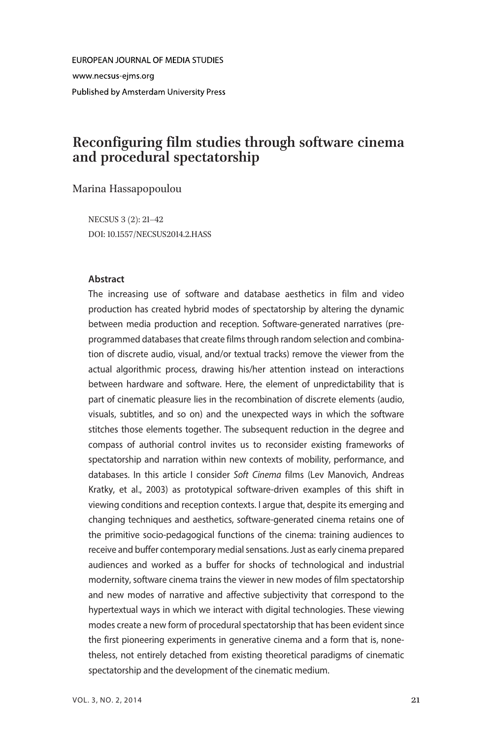**FUROPEAN JOURNAL OF MEDIA STUDIES** www.necsus-eims.org Published by Amsterdam University Press

# Reconfiguring film studies through software cinema and procedural spectatorship

Marina Hassapopoulou

NECSUS 3 (2): 21–42 DOI: 10.1557/NECSUS2014.2.HASS

#### **Abstract**

The increasing use of software and database aesthetics in film and video production has created hybrid modes of spectatorship by altering the dynamic between media production and reception. Software-generated narratives (preprogrammed databases that create films through random selection and combination of discrete audio, visual, and/or textual tracks) remove the viewer from the actual algorithmic process, drawing his/her attention instead on interactions between hardware and software. Here, the element of unpredictability that is part of cinematic pleasure lies in the recombination of discrete elements (audio, visuals, subtitles, and so on) and the unexpected ways in which the software stitches those elements together. The subsequent reduction in the degree and compass of authorial control invites us to reconsider existing frameworks of spectatorship and narration within new contexts of mobility, performance, and databases. In this article I consider Soft Cinema films (Lev Manovich, Andreas Kratky, et al., 2003) as prototypical software-driven examples of this shift in viewing conditions and reception contexts. I argue that, despite its emerging and changing techniques and aesthetics, software-generated cinema retains one of the primitive socio-pedagogical functions of the cinema: training audiences to receive and buffer contemporary medial sensations. Just as early cinema prepared audiences and worked as a buffer for shocks of technological and industrial modernity, software cinema trains the viewer in new modes of film spectatorship and new modes of narrative and affective subjectivity that correspond to the hypertextual ways in which we interact with digital technologies. These viewing modes create a new form of procedural spectatorship that has been evident since the first pioneering experiments in generative cinema and a form that is, nonetheless, not entirely detached from existing theoretical paradigms of cinematic spectatorship and the development of the cinematic medium.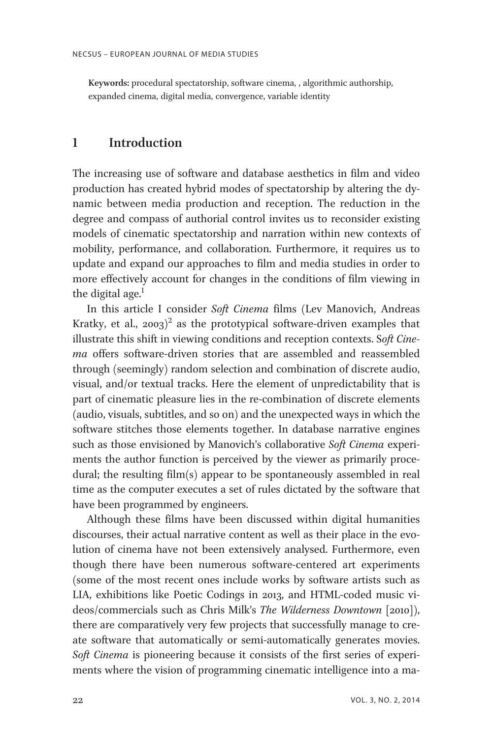Keywords: procedural spectatorship, software cinema, , algorithmic authorship, expanded cinema, digital media, convergence, variable identity

## 1 Introduction

The increasing use of software and database aesthetics in film and video production has created hybrid modes of spectatorship by altering the dynamic between media production and reception. The reduction in the degree and compass of authorial control invites us to reconsider existing models of cinematic spectatorship and narration within new contexts of mobility, performance, and collaboration. Furthermore, it requires us to update and expand our approaches to film and media studies in order to more effectively account for changes in the conditions of film viewing in the digital age. $<sup>1</sup>$ </sup>

In this article I consider Soft Cinema films (Lev Manovich, Andreas Kratky, et al.,  $2003)^2$  as the prototypical software-driven examples that illustrate this shift in viewing conditions and reception contexts. Soft Cinema offers software-driven stories that are assembled and reassembled through (seemingly) random selection and combination of discrete audio, visual, and/or textual tracks. Here the element of unpredictability that is part of cinematic pleasure lies in the re-combination of discrete elements (audio, visuals, subtitles, and so on) and the unexpected ways in which the software stitches those elements together. In database narrative engines such as those envisioned by Manovich's collaborative Soft Cinema experiments the author function is perceived by the viewer as primarily procedural; the resulting film(s) appear to be spontaneously assembled in real time as the computer executes a set of rules dictated by the software that have been programmed by engineers.

Although these films have been discussed within digital humanities discourses, their actual narrative content as well as their place in the evolution of cinema have not been extensively analysed. Furthermore, even though there have been numerous software-centered art experiments (some of the most recent ones include works by software artists such as LIA, exhibitions like Poetic Codings in 2013, and HTML-coded music videos/commercials such as Chris Milk's The Wilderness Downtown [2010]), there are comparatively very few projects that successfully manage to create software that automatically or semi-automatically generates movies. Soft Cinema is pioneering because it consists of the first series of experiments where the vision of programming cinematic intelligence into a ma-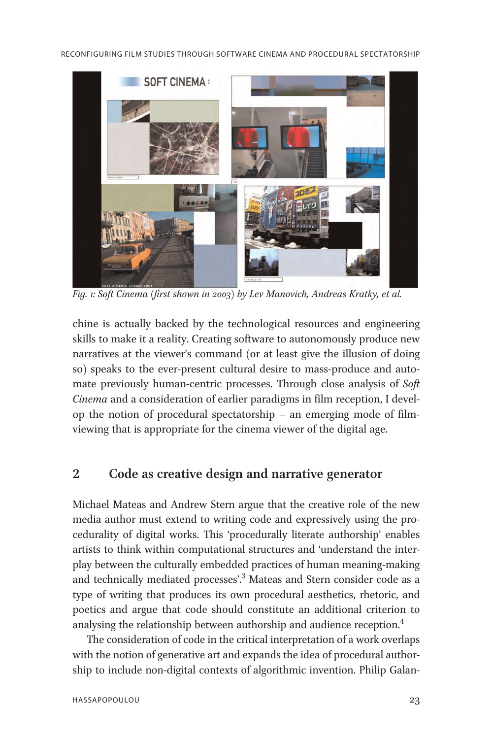

Fig. 1: Soft Cinema (first shown in 2003) by Lev Manovich, Andreas Kratky, et al.

chine is actually backed by the technological resources and engineering skills to make it a reality. Creating software to autonomously produce new narratives at the viewer's command (or at least give the illusion of doing so) speaks to the ever-present cultural desire to mass-produce and automate previously human-centric processes. Through close analysis of Soft Cinema and a consideration of earlier paradigms in film reception, I develop the notion of procedural spectatorship – an emerging mode of filmviewing that is appropriate for the cinema viewer of the digital age.

# 2 Code as creative design and narrative generator

Michael Mateas and Andrew Stern argue that the creative role of the new media author must extend to writing code and expressively using the procedurality of digital works. This 'procedurally literate authorship' enables artists to think within computational structures and 'understand the interplay between the culturally embedded practices of human meaning-making and technically mediated processes'. <sup>3</sup> Mateas and Stern consider code as a type of writing that produces its own procedural aesthetics, rhetoric, and poetics and argue that code should constitute an additional criterion to analysing the relationship between authorship and audience reception.<sup>4</sup>

The consideration of code in the critical interpretation of a work overlaps with the notion of generative art and expands the idea of procedural authorship to include non-digital contexts of algorithmic invention. Philip Galan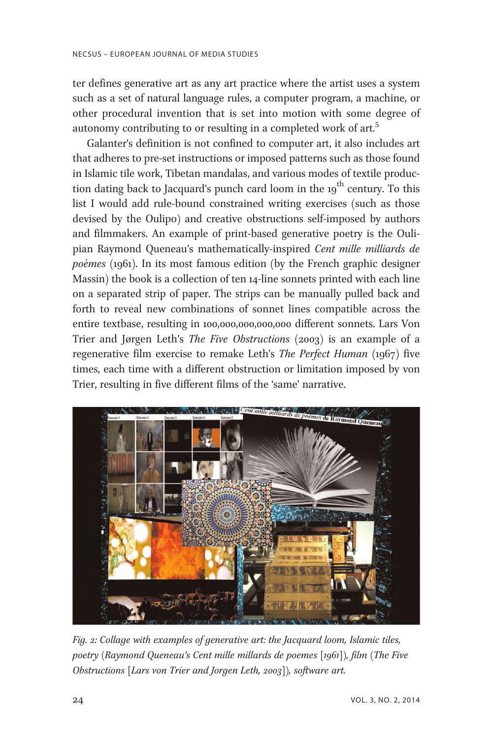ter defines generative art as any art practice where the artist uses a system such as a set of natural language rules, a computer program, a machine, or other procedural invention that is set into motion with some degree of autonomy contributing to or resulting in a completed work of art.<sup>5</sup>

Galanter's definition is not confined to computer art, it also includes art that adheres to pre-set instructions or imposed patterns such as those found in Islamic tile work, Tibetan mandalas, and various modes of textile production dating back to Jacquard's punch card loom in the  $19<sup>th</sup>$  century. To this list I would add rule-bound constrained writing exercises (such as those devised by the Oulipo) and creative obstructions self-imposed by authors and filmmakers. An example of print-based generative poetry is the Oulipian Raymond Queneau's mathematically-inspired Cent mille milliards de poèmes (1961). In its most famous edition (by the French graphic designer Massin) the book is a collection of ten 14-line sonnets printed with each line on a separated strip of paper. The strips can be manually pulled back and forth to reveal new combinations of sonnet lines compatible across the entire textbase, resulting in 100,000,000,000,000 different sonnets. Lars Von Trier and Jørgen Leth's *The Five Obstructions* (2003) is an example of a regenerative film exercise to remake Leth's The Perfect Human (1967) five times, each time with a different obstruction or limitation imposed by von Trier, resulting in five different films of the 'same' narrative.



Fig. 2: Collage with examples of generative art: the Jacquard loom, Islamic tiles, poetry (Raymond Queneau's Cent mille millards de poemes [1961]), film (The Five Obstructions [Lars von Trier and Jorgen Leth, 2003]), software art.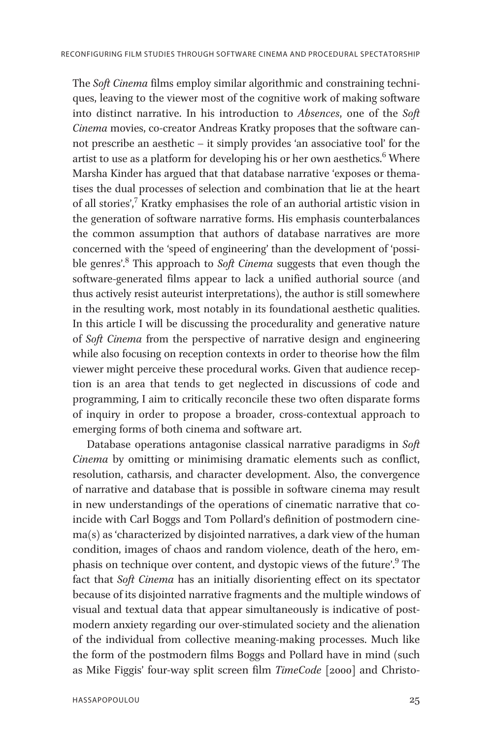The Soft Cinema films employ similar algorithmic and constraining techniques, leaving to the viewer most of the cognitive work of making software into distinct narrative. In his introduction to Absences, one of the Soft Cinema movies, co-creator Andreas Kratky proposes that the software cannot prescribe an aesthetic – it simply provides 'an associative tool' for the artist to use as a platform for developing his or her own aesthetics.<sup>6</sup> Where Marsha Kinder has argued that that database narrative 'exposes or thematises the dual processes of selection and combination that lie at the heart of all stories', $\frac{7}{7}$ Kratky emphasises the role of an authorial artistic vision in the generation of software narrative forms. His emphasis counterbalances the common assumption that authors of database narratives are more concerned with the 'speed of engineering' than the development of 'possible genres'.<sup>8</sup> This approach to Soft Cinema suggests that even though the software-generated films appear to lack a unified authorial source (and thus actively resist auteurist interpretations), the author is still somewhere in the resulting work, most notably in its foundational aesthetic qualities. In this article I will be discussing the procedurality and generative nature of Soft Cinema from the perspective of narrative design and engineering while also focusing on reception contexts in order to theorise how the film viewer might perceive these procedural works. Given that audience reception is an area that tends to get neglected in discussions of code and programming, I aim to critically reconcile these two often disparate forms of inquiry in order to propose a broader, cross-contextual approach to emerging forms of both cinema and software art.

Database operations antagonise classical narrative paradigms in Soft Cinema by omitting or minimising dramatic elements such as conflict, resolution, catharsis, and character development. Also, the convergence of narrative and database that is possible in software cinema may result in new understandings of the operations of cinematic narrative that coincide with Carl Boggs and Tom Pollard's definition of postmodern cinema(s) as 'characterized by disjointed narratives, a dark view of the human condition, images of chaos and random violence, death of the hero, emphasis on technique over content, and dystopic views of the future'.<sup>9</sup> The fact that Soft Cinema has an initially disorienting effect on its spectator because of its disjointed narrative fragments and the multiple windows of visual and textual data that appear simultaneously is indicative of postmodern anxiety regarding our over-stimulated society and the alienation of the individual from collective meaning-making processes. Much like the form of the postmodern films Boggs and Pollard have in mind (such as Mike Figgis' four-way split screen film TimeCode [2000] and Christo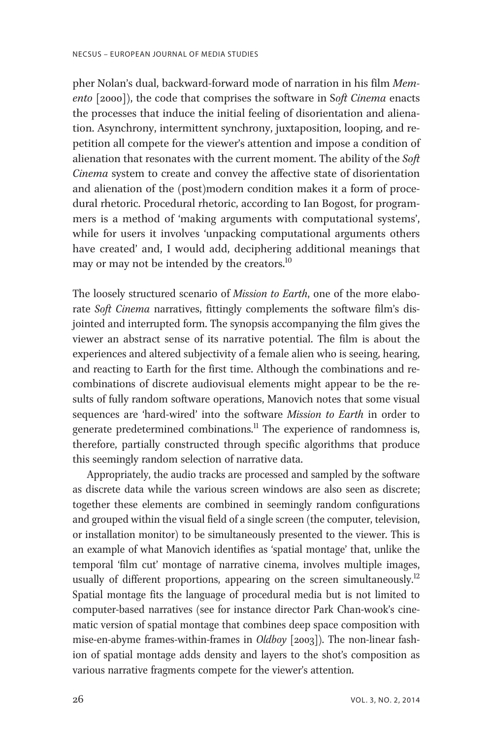pher Nolan's dual, backward-forward mode of narration in his film Memento [2000]), the code that comprises the software in Soft Cinema enacts the processes that induce the initial feeling of disorientation and alienation. Asynchrony, intermittent synchrony, juxtaposition, looping, and repetition all compete for the viewer's attention and impose a condition of alienation that resonates with the current moment. The ability of the  $Soft$ Cinema system to create and convey the affective state of disorientation and alienation of the (post)modern condition makes it a form of procedural rhetoric. Procedural rhetoric, according to Ian Bogost, for programmers is a method of 'making arguments with computational systems', while for users it involves 'unpacking computational arguments others have created' and, I would add, deciphering additional meanings that may or may not be intended by the creators.<sup>10</sup>

The loosely structured scenario of Mission to Earth, one of the more elaborate Soft Cinema narratives, fittingly complements the software film's disjointed and interrupted form. The synopsis accompanying the film gives the viewer an abstract sense of its narrative potential. The film is about the experiences and altered subjectivity of a female alien who is seeing, hearing, and reacting to Earth for the first time. Although the combinations and recombinations of discrete audiovisual elements might appear to be the results of fully random software operations, Manovich notes that some visual sequences are 'hard-wired' into the software Mission to Earth in order to generate predetermined combinations.<sup>11</sup> The experience of randomness is, therefore, partially constructed through specific algorithms that produce this seemingly random selection of narrative data.

Appropriately, the audio tracks are processed and sampled by the software as discrete data while the various screen windows are also seen as discrete; together these elements are combined in seemingly random configurations and grouped within the visual field of a single screen (the computer, television, or installation monitor) to be simultaneously presented to the viewer. This is an example of what Manovich identifies as 'spatial montage' that, unlike the temporal 'film cut' montage of narrative cinema, involves multiple images, usually of different proportions, appearing on the screen simultaneously.<sup>12</sup> Spatial montage fits the language of procedural media but is not limited to computer-based narratives (see for instance director Park Chan-wook's cinematic version of spatial montage that combines deep space composition with mise-en-abyme frames-within-frames in *Oldboy* [2003]). The non-linear fashion of spatial montage adds density and layers to the shot's composition as various narrative fragments compete for the viewer's attention.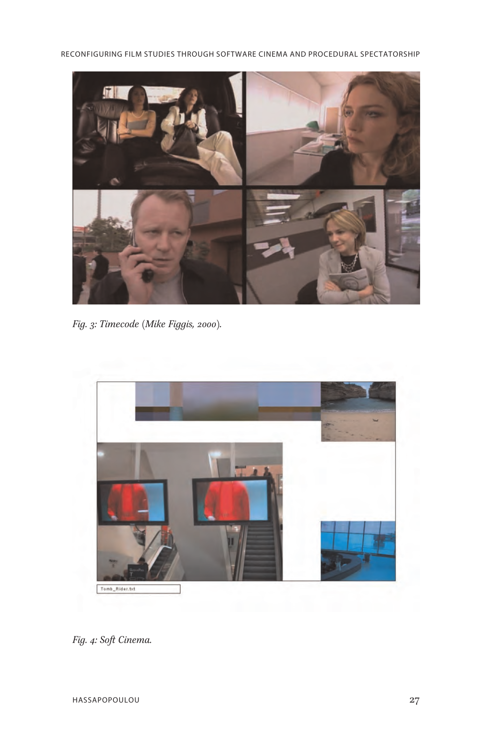RECONFIGURING FILM STUDIES THROUGH SOFTWARE CINEMA AND PROCEDURAL SPECTATORSHIP



Fig. 3: Timecode (Mike Figgis, 2000).



Fig. 4: Soft Cinema.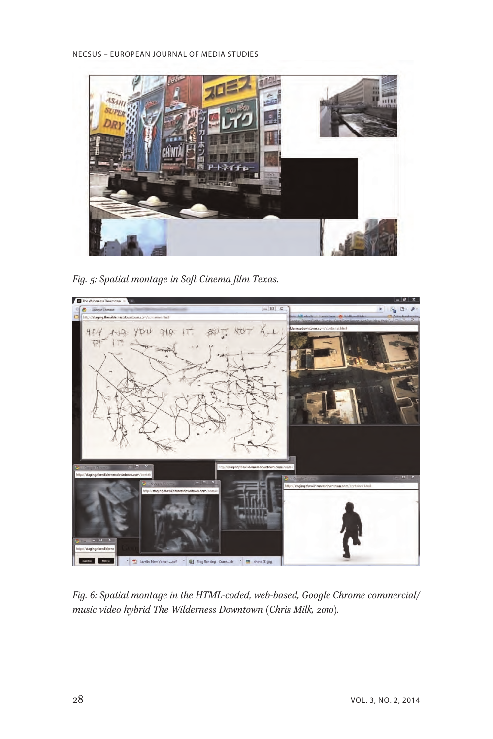

Fig. 5: Spatial montage in Soft Cinema film Texas.



Fig. 6: Spatial montage in the HTML-coded, web-based, Google Chrome commercial/ music video hybrid The Wilderness Downtown (Chris Milk, 2010).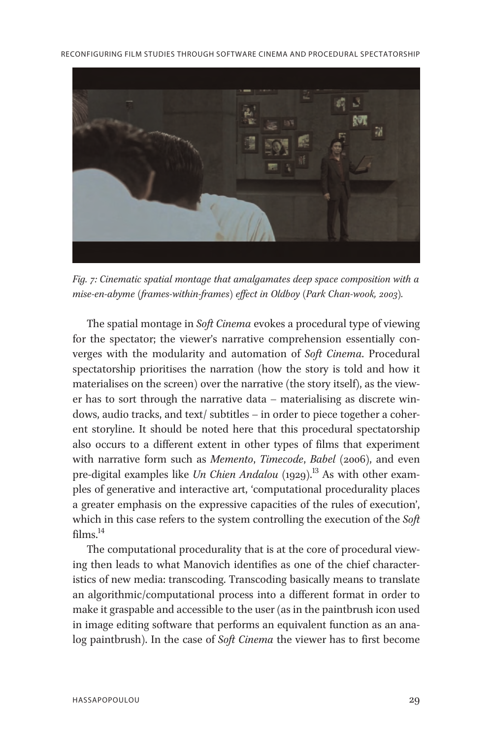RECONFIGURING FILM STUDIES THROUGH SOFTWARE CINEMA AND PROCEDURAL SPECTATORSHIP



Fig. 7: Cinematic spatial montage that amalgamates deep space composition with a mise-en-abyme (frames-within-frames) effect in Oldboy (Park Chan-wook, 2003).

The spatial montage in *Soft Cinema* evokes a procedural type of viewing for the spectator; the viewer's narrative comprehension essentially converges with the modularity and automation of Soft Cinema. Procedural spectatorship prioritises the narration (how the story is told and how it materialises on the screen) over the narrative (the story itself), as the viewer has to sort through the narrative data – materialising as discrete windows, audio tracks, and text/ subtitles – in order to piece together a coherent storyline. It should be noted here that this procedural spectatorship also occurs to a different extent in other types of films that experiment with narrative form such as Memento, Timecode, Babel (2006), and even pre-digital examples like Un Chien Andalou  $(1929)^{13}$  As with other examples of generative and interactive art, 'computational procedurality places a greater emphasis on the expressive capacities of the rules of execution', which in this case refers to the system controlling the execution of the  $Soft$ films $^{14}$ 

The computational procedurality that is at the core of procedural viewing then leads to what Manovich identifies as one of the chief characteristics of new media: transcoding. Transcoding basically means to translate an algorithmic/computational process into a different format in order to make it graspable and accessible to the user (as in the paintbrush icon used in image editing software that performs an equivalent function as an analog paintbrush). In the case of *Soft Cinema* the viewer has to first become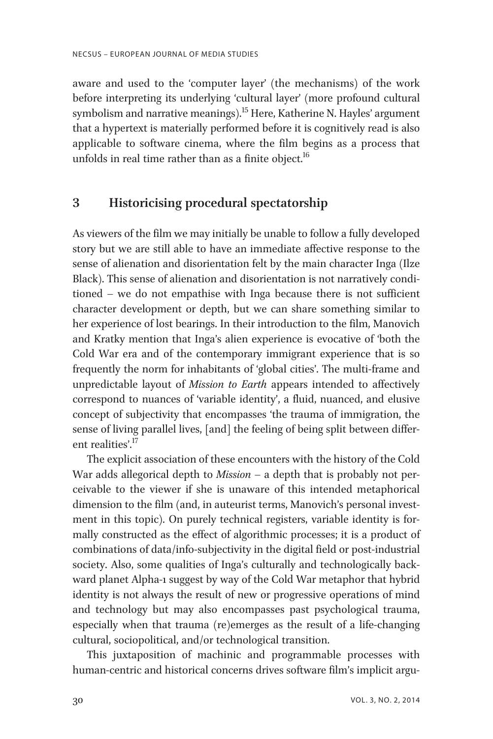aware and used to the 'computer layer' (the mechanisms) of the work before interpreting its underlying 'cultural layer' (more profound cultural symbolism and narrative meanings).<sup>15</sup> Here, Katherine N. Hayles' argument that a hypertext is materially performed before it is cognitively read is also applicable to software cinema, where the film begins as a process that unfolds in real time rather than as a finite object.<sup>16</sup>

# 3 Historicising procedural spectatorship

As viewers of the film we may initially be unable to follow a fully developed story but we are still able to have an immediate affective response to the sense of alienation and disorientation felt by the main character Inga (Ilze Black). This sense of alienation and disorientation is not narratively conditioned – we do not empathise with Inga because there is not sufficient character development or depth, but we can share something similar to her experience of lost bearings. In their introduction to the film, Manovich and Kratky mention that Inga's alien experience is evocative of 'both the Cold War era and of the contemporary immigrant experience that is so frequently the norm for inhabitants of 'global cities'. The multi-frame and unpredictable layout of Mission to Earth appears intended to affectively correspond to nuances of 'variable identity', a fluid, nuanced, and elusive concept of subjectivity that encompasses 'the trauma of immigration, the sense of living parallel lives, [and] the feeling of being split between different realities'.<sup>17</sup>

The explicit association of these encounters with the history of the Cold War adds allegorical depth to  $Mission - a$  depth that is probably not perceivable to the viewer if she is unaware of this intended metaphorical dimension to the film (and, in auteurist terms, Manovich's personal investment in this topic). On purely technical registers, variable identity is formally constructed as the effect of algorithmic processes; it is a product of combinations of data/info-subjectivity in the digital field or post-industrial society. Also, some qualities of Inga's culturally and technologically backward planet Alpha-1 suggest by way of the Cold War metaphor that hybrid identity is not always the result of new or progressive operations of mind and technology but may also encompasses past psychological trauma, especially when that trauma (re)emerges as the result of a life-changing cultural, sociopolitical, and/or technological transition.

This juxtaposition of machinic and programmable processes with human-centric and historical concerns drives software film's implicit argu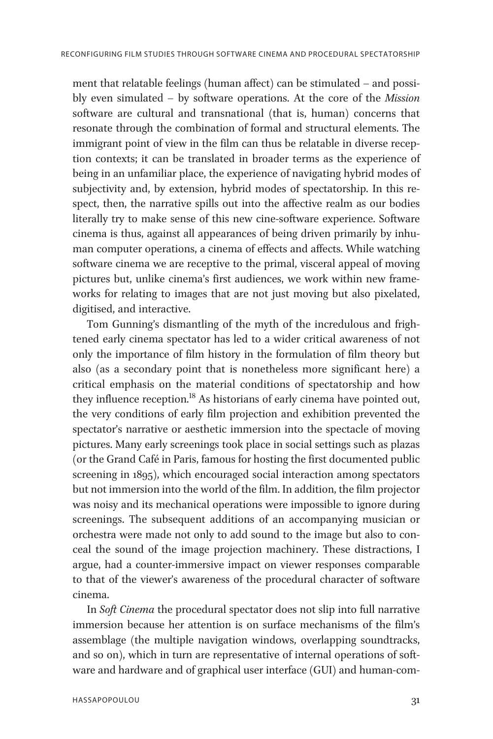ment that relatable feelings (human affect) can be stimulated – and possibly even simulated – by software operations. At the core of the Mission software are cultural and transnational (that is, human) concerns that resonate through the combination of formal and structural elements. The immigrant point of view in the film can thus be relatable in diverse reception contexts; it can be translated in broader terms as the experience of being in an unfamiliar place, the experience of navigating hybrid modes of subjectivity and, by extension, hybrid modes of spectatorship. In this respect, then, the narrative spills out into the affective realm as our bodies literally try to make sense of this new cine-software experience. Software cinema is thus, against all appearances of being driven primarily by inhuman computer operations, a cinema of effects and affects. While watching software cinema we are receptive to the primal, visceral appeal of moving pictures but, unlike cinema's first audiences, we work within new frameworks for relating to images that are not just moving but also pixelated, digitised, and interactive.

Tom Gunning's dismantling of the myth of the incredulous and frightened early cinema spectator has led to a wider critical awareness of not only the importance of film history in the formulation of film theory but also (as a secondary point that is nonetheless more significant here) a critical emphasis on the material conditions of spectatorship and how they influence reception.<sup>18</sup> As historians of early cinema have pointed out, the very conditions of early film projection and exhibition prevented the spectator's narrative or aesthetic immersion into the spectacle of moving pictures. Many early screenings took place in social settings such as plazas (or the Grand Café in Paris, famous for hosting the first documented public screening in 1895), which encouraged social interaction among spectators but not immersion into the world of the film. In addition, the film projector was noisy and its mechanical operations were impossible to ignore during screenings. The subsequent additions of an accompanying musician or orchestra were made not only to add sound to the image but also to conceal the sound of the image projection machinery. These distractions, I argue, had a counter-immersive impact on viewer responses comparable to that of the viewer's awareness of the procedural character of software cinema.

In Soft Cinema the procedural spectator does not slip into full narrative immersion because her attention is on surface mechanisms of the film's assemblage (the multiple navigation windows, overlapping soundtracks, and so on), which in turn are representative of internal operations of software and hardware and of graphical user interface (GUI) and human-com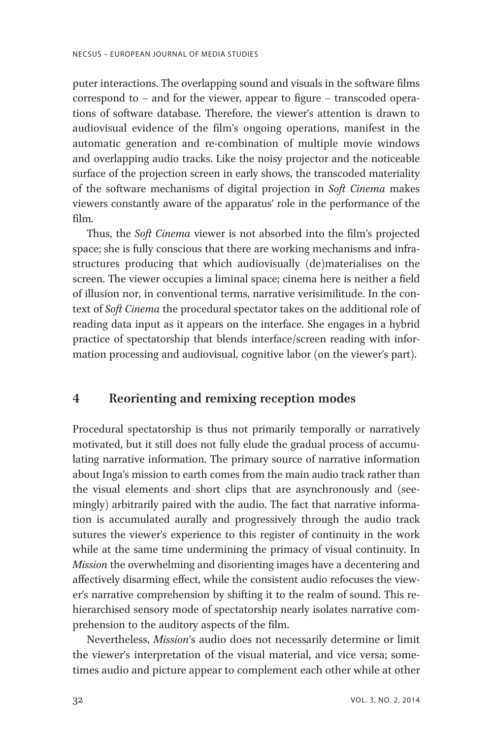puter interactions. The overlapping sound and visuals in the software films correspond to – and for the viewer, appear to figure – transcoded operations of software database. Therefore, the viewer's attention is drawn to audiovisual evidence of the film's ongoing operations, manifest in the automatic generation and re-combination of multiple movie windows and overlapping audio tracks. Like the noisy projector and the noticeable surface of the projection screen in early shows, the transcoded materiality of the software mechanisms of digital projection in Soft Cinema makes viewers constantly aware of the apparatus' role in the performance of the film.

Thus, the Soft Cinema viewer is not absorbed into the film's projected space; she is fully conscious that there are working mechanisms and infrastructures producing that which audiovisually (de)materialises on the screen. The viewer occupies a liminal space; cinema here is neither a field of illusion nor, in conventional terms, narrative verisimilitude. In the context of Soft Cinema the procedural spectator takes on the additional role of reading data input as it appears on the interface. She engages in a hybrid practice of spectatorship that blends interface/screen reading with information processing and audiovisual, cognitive labor (on the viewer's part).

## 4 Reorienting and remixing reception modes

Procedural spectatorship is thus not primarily temporally or narratively motivated, but it still does not fully elude the gradual process of accumulating narrative information. The primary source of narrative information about Inga's mission to earth comes from the main audio track rather than the visual elements and short clips that are asynchronously and (seemingly) arbitrarily paired with the audio. The fact that narrative information is accumulated aurally and progressively through the audio track sutures the viewer's experience to this register of continuity in the work while at the same time undermining the primacy of visual continuity. In Mission the overwhelming and disorienting images have a decentering and affectively disarming effect, while the consistent audio refocuses the viewer's narrative comprehension by shifting it to the realm of sound. This rehierarchised sensory mode of spectatorship nearly isolates narrative comprehension to the auditory aspects of the film.

Nevertheless, Mission's audio does not necessarily determine or limit the viewer's interpretation of the visual material, and vice versa; sometimes audio and picture appear to complement each other while at other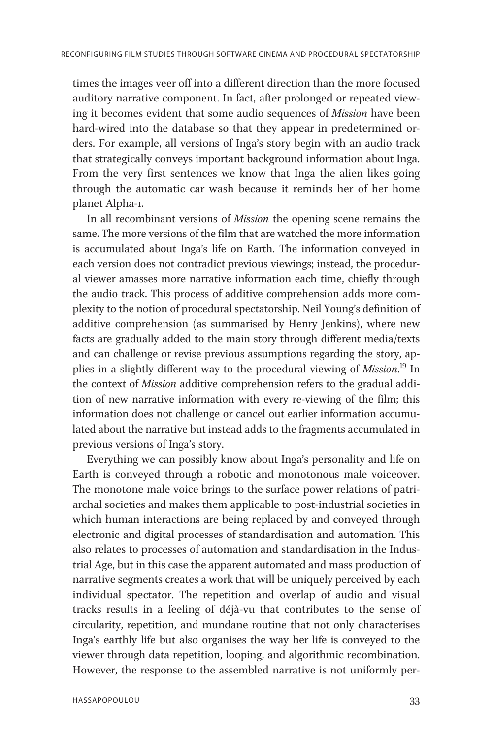times the images veer off into a different direction than the more focused auditory narrative component. In fact, after prolonged or repeated viewing it becomes evident that some audio sequences of Mission have been hard-wired into the database so that they appear in predetermined orders. For example, all versions of Inga's story begin with an audio track that strategically conveys important background information about Inga. From the very first sentences we know that Inga the alien likes going through the automatic car wash because it reminds her of her home planet Alpha-1.

In all recombinant versions of Mission the opening scene remains the same. The more versions of the film that are watched the more information is accumulated about Inga's life on Earth. The information conveyed in each version does not contradict previous viewings; instead, the procedural viewer amasses more narrative information each time, chiefly through the audio track. This process of additive comprehension adds more complexity to the notion of procedural spectatorship. Neil Young's definition of additive comprehension (as summarised by Henry Jenkins), where new facts are gradually added to the main story through different media/texts and can challenge or revise previous assumptions regarding the story, applies in a slightly different way to the procedural viewing of Mission.<sup>19</sup> In the context of Mission additive comprehension refers to the gradual addition of new narrative information with every re-viewing of the film; this information does not challenge or cancel out earlier information accumulated about the narrative but instead adds to the fragments accumulated in previous versions of Inga's story.

Everything we can possibly know about Inga's personality and life on Earth is conveyed through a robotic and monotonous male voiceover. The monotone male voice brings to the surface power relations of patriarchal societies and makes them applicable to post-industrial societies in which human interactions are being replaced by and conveyed through electronic and digital processes of standardisation and automation. This also relates to processes of automation and standardisation in the Industrial Age, but in this case the apparent automated and mass production of narrative segments creates a work that will be uniquely perceived by each individual spectator. The repetition and overlap of audio and visual tracks results in a feeling of déjà-vu that contributes to the sense of circularity, repetition, and mundane routine that not only characterises Inga's earthly life but also organises the way her life is conveyed to the viewer through data repetition, looping, and algorithmic recombination. However, the response to the assembled narrative is not uniformly per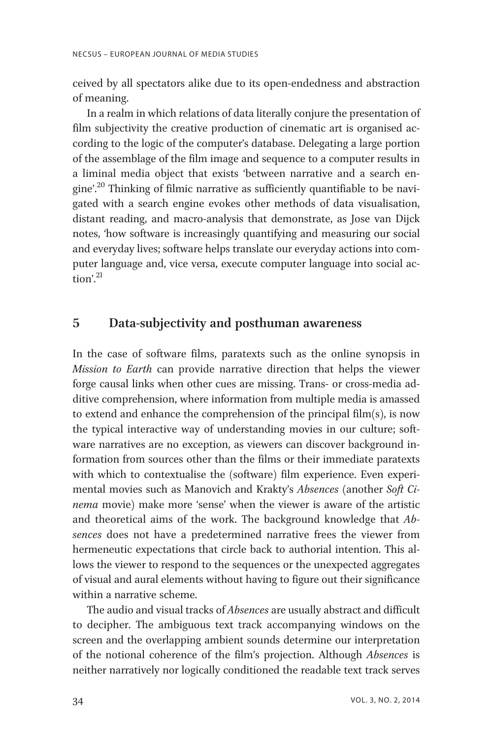ceived by all spectators alike due to its open-endedness and abstraction of meaning.

In a realm in which relations of data literally conjure the presentation of film subjectivity the creative production of cinematic art is organised according to the logic of the computer's database. Delegating a large portion of the assemblage of the film image and sequence to a computer results in a liminal media object that exists 'between narrative and a search engine'. <sup>20</sup> Thinking of filmic narrative as sufficiently quantifiable to be navigated with a search engine evokes other methods of data visualisation, distant reading, and macro-analysis that demonstrate, as Jose van Dijck notes, 'how software is increasingly quantifying and measuring our social and everyday lives; software helps translate our everyday actions into computer language and, vice versa, execute computer language into social action'. 21

# 5 Data-subjectivity and posthuman awareness

In the case of software films, paratexts such as the online synopsis in Mission to Earth can provide narrative direction that helps the viewer forge causal links when other cues are missing. Trans- or cross-media additive comprehension, where information from multiple media is amassed to extend and enhance the comprehension of the principal film(s), is now the typical interactive way of understanding movies in our culture; software narratives are no exception, as viewers can discover background information from sources other than the films or their immediate paratexts with which to contextualise the (software) film experience. Even experimental movies such as Manovich and Krakty's Absences (another Soft Cinema movie) make more 'sense' when the viewer is aware of the artistic and theoretical aims of the work. The background knowledge that Absences does not have a predetermined narrative frees the viewer from hermeneutic expectations that circle back to authorial intention. This allows the viewer to respond to the sequences or the unexpected aggregates of visual and aural elements without having to figure out their significance within a narrative scheme.

The audio and visual tracks of *Absences* are usually abstract and difficult to decipher. The ambiguous text track accompanying windows on the screen and the overlapping ambient sounds determine our interpretation of the notional coherence of the film's projection. Although Absences is neither narratively nor logically conditioned the readable text track serves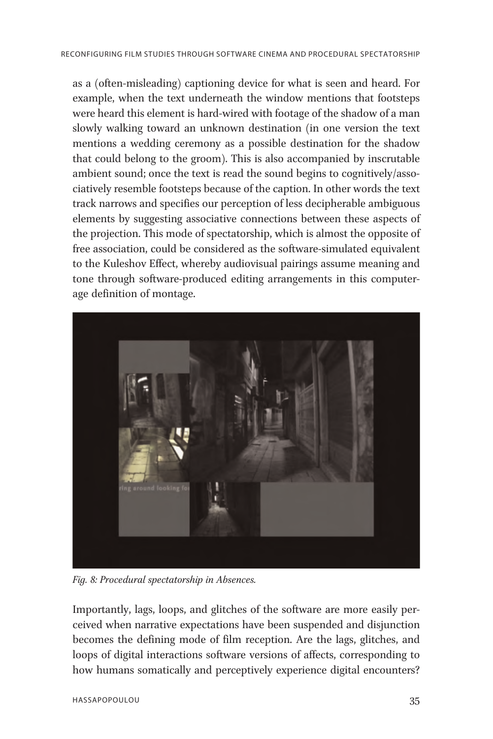as a (often-misleading) captioning device for what is seen and heard. For example, when the text underneath the window mentions that footsteps were heard this element is hard-wired with footage of the shadow of a man slowly walking toward an unknown destination (in one version the text mentions a wedding ceremony as a possible destination for the shadow that could belong to the groom). This is also accompanied by inscrutable ambient sound; once the text is read the sound begins to cognitively/associatively resemble footsteps because of the caption. In other words the text track narrows and specifies our perception of less decipherable ambiguous elements by suggesting associative connections between these aspects of the projection. This mode of spectatorship, which is almost the opposite of free association, could be considered as the software-simulated equivalent to the Kuleshov Effect, whereby audiovisual pairings assume meaning and tone through software-produced editing arrangements in this computerage definition of montage.



Fig. 8: Procedural spectatorship in Absences.

Importantly, lags, loops, and glitches of the software are more easily perceived when narrative expectations have been suspended and disjunction becomes the defining mode of film reception. Are the lags, glitches, and loops of digital interactions software versions of affects, corresponding to how humans somatically and perceptively experience digital encounters?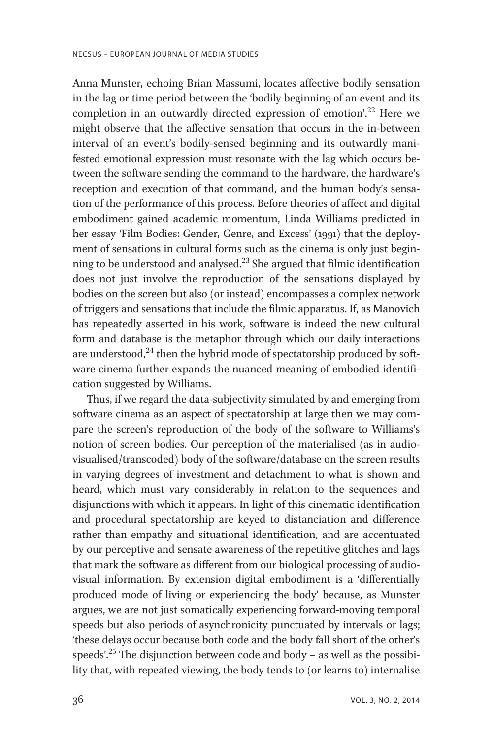Anna Munster, echoing Brian Massumi, locates affective bodily sensation in the lag or time period between the 'bodily beginning of an event and its completion in an outwardly directed expression of emotion'. <sup>22</sup> Here we might observe that the affective sensation that occurs in the in-between interval of an event's bodily-sensed beginning and its outwardly manifested emotional expression must resonate with the lag which occurs between the software sending the command to the hardware, the hardware's reception and execution of that command, and the human body's sensation of the performance of this process. Before theories of affect and digital embodiment gained academic momentum, Linda Williams predicted in her essay 'Film Bodies: Gender, Genre, and Excess' (1991) that the deployment of sensations in cultural forms such as the cinema is only just beginning to be understood and analysed.<sup>23</sup> She argued that filmic identification does not just involve the reproduction of the sensations displayed by bodies on the screen but also (or instead) encompasses a complex network of triggers and sensations that include the filmic apparatus. If, as Manovich has repeatedly asserted in his work, software is indeed the new cultural form and database is the metaphor through which our daily interactions are understood, $^{24}$  then the hybrid mode of spectatorship produced by software cinema further expands the nuanced meaning of embodied identification suggested by Williams.

Thus, if we regard the data-subjectivity simulated by and emerging from software cinema as an aspect of spectatorship at large then we may compare the screen's reproduction of the body of the software to Williams's notion of screen bodies. Our perception of the materialised (as in audiovisualised/transcoded) body of the software/database on the screen results in varying degrees of investment and detachment to what is shown and heard, which must vary considerably in relation to the sequences and disjunctions with which it appears. In light of this cinematic identification and procedural spectatorship are keyed to distanciation and difference rather than empathy and situational identification, and are accentuated by our perceptive and sensate awareness of the repetitive glitches and lags that mark the software as different from our biological processing of audiovisual information. By extension digital embodiment is a 'differentially produced mode of living or experiencing the body' because, as Munster argues, we are not just somatically experiencing forward-moving temporal speeds but also periods of asynchronicity punctuated by intervals or lags; 'these delays occur because both code and the body fall short of the other's speeds'. <sup>25</sup> The disjunction between code and body – as well as the possibility that, with repeated viewing, the body tends to (or learns to) internalise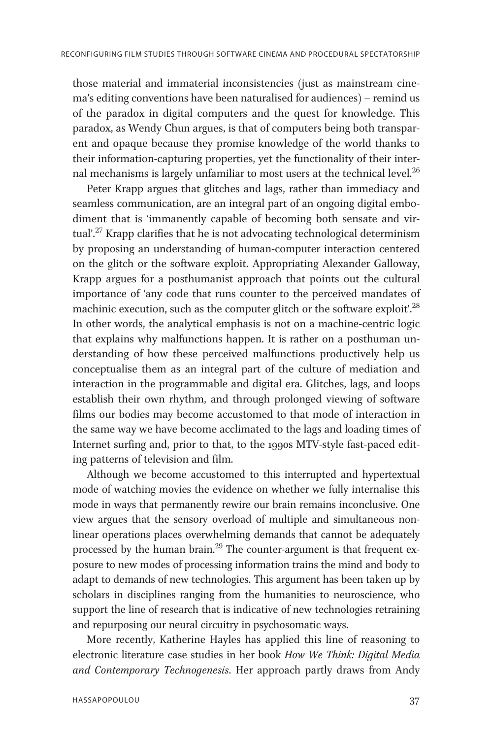those material and immaterial inconsistencies (just as mainstream cinema's editing conventions have been naturalised for audiences) – remind us of the paradox in digital computers and the quest for knowledge. This paradox, as Wendy Chun argues, is that of computers being both transparent and opaque because they promise knowledge of the world thanks to their information-capturing properties, yet the functionality of their internal mechanisms is largely unfamiliar to most users at the technical level.<sup>26</sup>

Peter Krapp argues that glitches and lags, rather than immediacy and seamless communication, are an integral part of an ongoing digital embodiment that is 'immanently capable of becoming both sensate and virtual'. <sup>27</sup> Krapp clarifies that he is not advocating technological determinism by proposing an understanding of human-computer interaction centered on the glitch or the software exploit. Appropriating Alexander Galloway, Krapp argues for a posthumanist approach that points out the cultural importance of 'any code that runs counter to the perceived mandates of machinic execution, such as the computer glitch or the software exploit'.<sup>28</sup> In other words, the analytical emphasis is not on a machine-centric logic that explains why malfunctions happen. It is rather on a posthuman understanding of how these perceived malfunctions productively help us conceptualise them as an integral part of the culture of mediation and interaction in the programmable and digital era. Glitches, lags, and loops establish their own rhythm, and through prolonged viewing of software films our bodies may become accustomed to that mode of interaction in the same way we have become acclimated to the lags and loading times of Internet surfing and, prior to that, to the 1990s MTV-style fast-paced editing patterns of television and film.

Although we become accustomed to this interrupted and hypertextual mode of watching movies the evidence on whether we fully internalise this mode in ways that permanently rewire our brain remains inconclusive. One view argues that the sensory overload of multiple and simultaneous nonlinear operations places overwhelming demands that cannot be adequately processed by the human brain.<sup>29</sup> The counter-argument is that frequent exposure to new modes of processing information trains the mind and body to adapt to demands of new technologies. This argument has been taken up by scholars in disciplines ranging from the humanities to neuroscience, who support the line of research that is indicative of new technologies retraining and repurposing our neural circuitry in psychosomatic ways.

More recently, Katherine Hayles has applied this line of reasoning to electronic literature case studies in her book How We Think: Digital Media and Contemporary Technogenesis. Her approach partly draws from Andy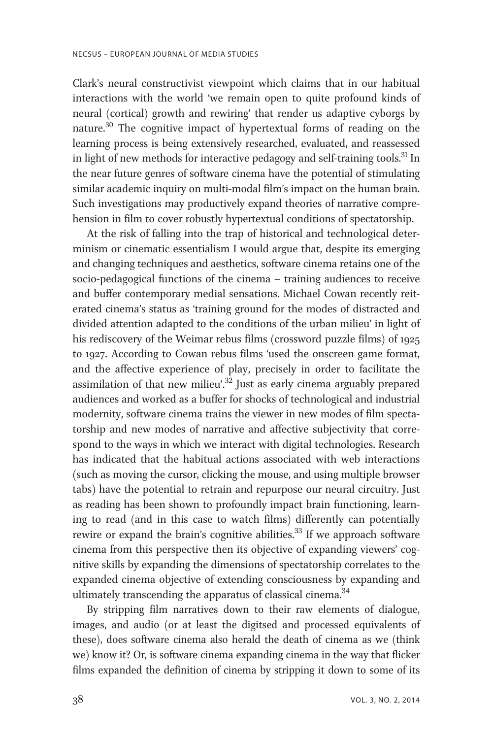Clark's neural constructivist viewpoint which claims that in our habitual interactions with the world 'we remain open to quite profound kinds of neural (cortical) growth and rewiring' that render us adaptive cyborgs by nature.<sup>30</sup> The cognitive impact of hypertextual forms of reading on the learning process is being extensively researched, evaluated, and reassessed in light of new methods for interactive pedagogy and self-training tools.<sup>31</sup> In the near future genres of software cinema have the potential of stimulating similar academic inquiry on multi-modal film's impact on the human brain. Such investigations may productively expand theories of narrative comprehension in film to cover robustly hypertextual conditions of spectatorship.

At the risk of falling into the trap of historical and technological determinism or cinematic essentialism I would argue that, despite its emerging and changing techniques and aesthetics, software cinema retains one of the socio-pedagogical functions of the cinema – training audiences to receive and buffer contemporary medial sensations. Michael Cowan recently reiterated cinema's status as 'training ground for the modes of distracted and divided attention adapted to the conditions of the urban milieu' in light of his rediscovery of the Weimar rebus films (crossword puzzle films) of 1925 to 1927. According to Cowan rebus films 'used the onscreen game format, and the affective experience of play, precisely in order to facilitate the assimilation of that new milieu'.<sup>32</sup> Just as early cinema arguably prepared audiences and worked as a buffer for shocks of technological and industrial modernity, software cinema trains the viewer in new modes of film spectatorship and new modes of narrative and affective subjectivity that correspond to the ways in which we interact with digital technologies. Research has indicated that the habitual actions associated with web interactions (such as moving the cursor, clicking the mouse, and using multiple browser tabs) have the potential to retrain and repurpose our neural circuitry. Just as reading has been shown to profoundly impact brain functioning, learning to read (and in this case to watch films) differently can potentially rewire or expand the brain's cognitive abilities.<sup>33</sup> If we approach software cinema from this perspective then its objective of expanding viewers' cognitive skills by expanding the dimensions of spectatorship correlates to the expanded cinema objective of extending consciousness by expanding and ultimately transcending the apparatus of classical cinema.<sup>34</sup>

By stripping film narratives down to their raw elements of dialogue, images, and audio (or at least the digitsed and processed equivalents of these), does software cinema also herald the death of cinema as we (think we) know it? Or, is software cinema expanding cinema in the way that flicker films expanded the definition of cinema by stripping it down to some of its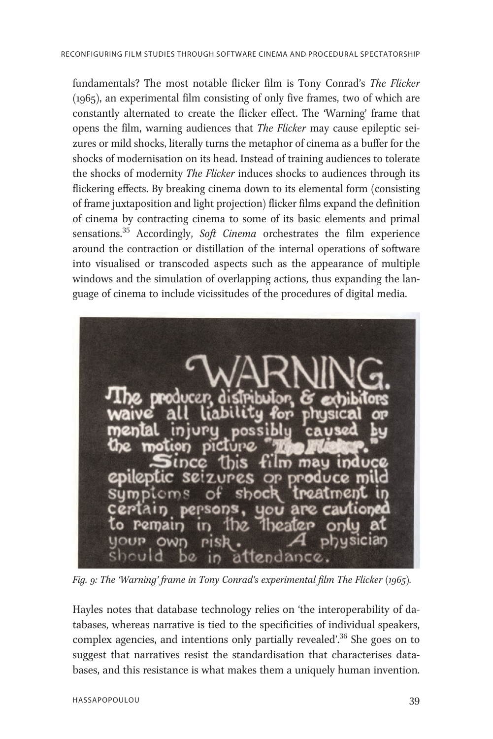fundamentals? The most notable flicker film is Tony Conrad's The Flicker (1965), an experimental film consisting of only five frames, two of which are constantly alternated to create the flicker effect. The 'Warning' frame that opens the film, warning audiences that The Flicker may cause epileptic seizures or mild shocks, literally turns the metaphor of cinema as a buffer for the shocks of modernisation on its head. Instead of training audiences to tolerate the shocks of modernity The Flicker induces shocks to audiences through its flickering effects. By breaking cinema down to its elemental form (consisting of frame juxtaposition and light projection) flicker films expand the definition of cinema by contracting cinema to some of its basic elements and primal sensations.<sup>35</sup> Accordingly, Soft Cinema orchestrates the film experience around the contraction or distillation of the internal operations of software into visualised or transcoded aspects such as the appearance of multiple windows and the simulation of overlapping actions, thus expanding the language of cinema to include vicissitudes of the procedures of digital media.



Fig. 9: The 'Warning' frame in Tony Conrad's experimental film The Flicker (1965).

Hayles notes that database technology relies on 'the interoperability of databases, whereas narrative is tied to the specificities of individual speakers, complex agencies, and intentions only partially revealed'.<sup>36</sup> She goes on to suggest that narratives resist the standardisation that characterises databases, and this resistance is what makes them a uniquely human invention.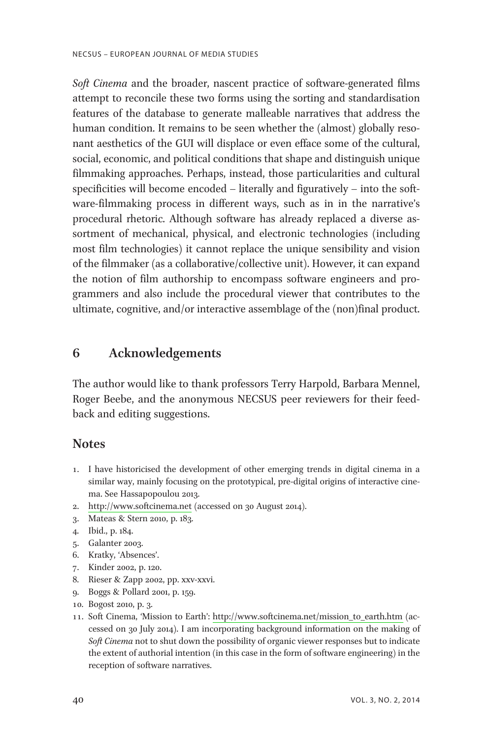Soft Cinema and the broader, nascent practice of software-generated films attempt to reconcile these two forms using the sorting and standardisation features of the database to generate malleable narratives that address the human condition. It remains to be seen whether the (almost) globally resonant aesthetics of the GUI will displace or even efface some of the cultural, social, economic, and political conditions that shape and distinguish unique filmmaking approaches. Perhaps, instead, those particularities and cultural specificities will become encoded – literally and figuratively – into the software-filmmaking process in different ways, such as in in the narrative's procedural rhetoric. Although software has already replaced a diverse assortment of mechanical, physical, and electronic technologies (including most film technologies) it cannot replace the unique sensibility and vision of the filmmaker (as a collaborative/collective unit). However, it can expand the notion of film authorship to encompass software engineers and programmers and also include the procedural viewer that contributes to the ultimate, cognitive, and/or interactive assemblage of the (non)final product.

# 6 Acknowledgements

The author would like to thank professors Terry Harpold, Barbara Mennel, Roger Beebe, and the anonymous NECSUS peer reviewers for their feedback and editing suggestions.

#### **Notes**

- 1. I have historicised the development of other emerging trends in digital cinema in a similar way, mainly focusing on the prototypical, pre-digital origins of interactive cinema. See Hassapopoulou 2013.
- 2.<http://www.softcinema.net> (accessed on 30 August 2014).
- 3. Mateas & Stern 2010, p. 183.
- 4. Ibid., p. 184.
- 5. Galanter 2003.
- 6. Kratky, 'Absences'.
- 7. Kinder 2002, p. 120.
- 8. Rieser & Zapp 2002, pp. xxv-xxvi.
- 9. Boggs & Pollard 2001, p. 159.
- 10. Bogost 2010, p. 3.
- 1 1. Soft Cinema, 'Mission to Earth': [http://www.softcinema.net/mission\\_to\\_earth.htm](http://www.softcinema.net/mission_to_earth.htm) (accessed on 30 July 2014). I am incorporating background information on the making of Soft Cinema not to shut down the possibility of organic viewer responses but to indicate the extent of authorial intention (in this case in the form of software engineering) in the reception of software narratives.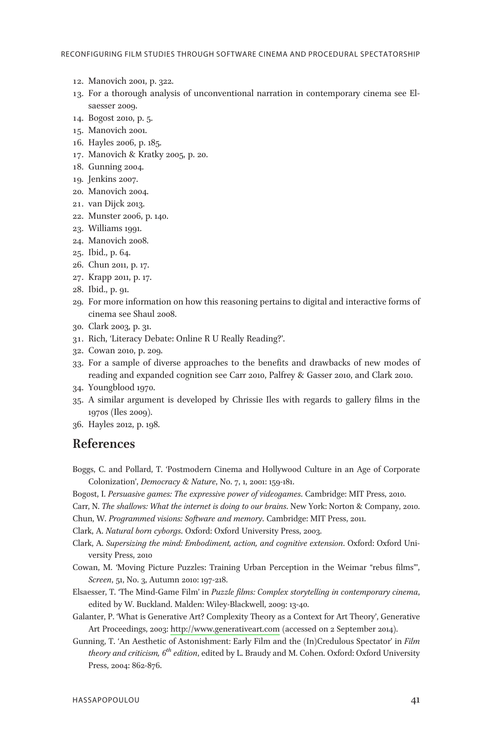- 12. Manovich 2001, p. 322.
- 13. For a thorough analysis of unconventional narration in contemporary cinema see Elsaesser 2009.
- 14. Bogost 2010, p. 5.
- 15. Manovich 2001.
- 16. Hayles 2006, p. 185.
- 17. Manovich & Kratky 2005, p. 20.
- 18. Gunning 2004.
- 19. Jenkins 2007.
- 20. Manovich 2004.
- 21. van Dijck 2013.
- 22. Munster 2006, p. 140.
- 23. Williams 1991.
- 24. Manovich 2008.
- 25. Ibid., p. 64.
- 26. Chun 2011, p. 17.
- 27. Krapp 2011, p. 17.
- 28. Ibid., p. 91.
- 29. For more information on how this reasoning pertains to digital and interactive forms of cinema see Shaul 2008.
- 30. Clark 2003, p. 31.
- 31. Rich, 'Literacy Debate: Online R U Really Reading?'.
- 32. Cowan 2010, p. 209.
- 33. For a sample of diverse approaches to the benefits and drawbacks of new modes of reading and expanded cognition see Carr 2010, Palfrey & Gasser 2010, and Clark 2010.
- 34. Youngblood 1970.
- 35. A similar argument is developed by Chrissie Iles with regards to gallery films in the 1970s (Iles 2009).
- 36. Hayles 2012, p. 198.

#### References

- Boggs, C. and Pollard, T. 'Postmodern Cinema and Hollywood Culture in an Age of Corporate Colonization', Democracy & Nature, No. 7, 1, 2001: 159-181.
- Bogost, I. Persuasive games: The expressive power of videogames. Cambridge: MIT Press, 2010.
- Carr, N. The shallows: What the internet is doing to our brains. New York: Norton & Company, 2010. Chun, W. Programmed visions: Software and memory. Cambridge: MIT Press, 2011.
- Clark, A. Natural born cyborgs. Oxford: Oxford University Press, 2003.
- Clark, A. Supersizing the mind: Embodiment, action, and cognitive extension. Oxford: Oxford University Press, 2010
- Cowan, M. 'Moving Picture Puzzles: Training Urban Perception in the Weimar "rebus films"', Screen, 51, No. 3, Autumn 2010: 197-218.
- Elsaesser, T. 'The Mind-Game Film' in Puzzle films: Complex storytelling in contemporary cinema, edited by W. Buckland. Malden: Wiley-Blackwell, 2009: 13-40.
- Galanter, P. 'What is Generative Art? Complexity Theory as a Context for Art Theory', Generative Art Proceedings, 2003:<http://www.generativeart.com> (accessed on 2 September 2014).
- Gunning, T. 'An Aesthetic of Astonishment: Early Film and the (In)Credulous Spectator' in Film theory and criticism,  $6^{th}$  edition, edited by L. Braudy and M. Cohen. Oxford: Oxford University Press, 2004: 862-876.